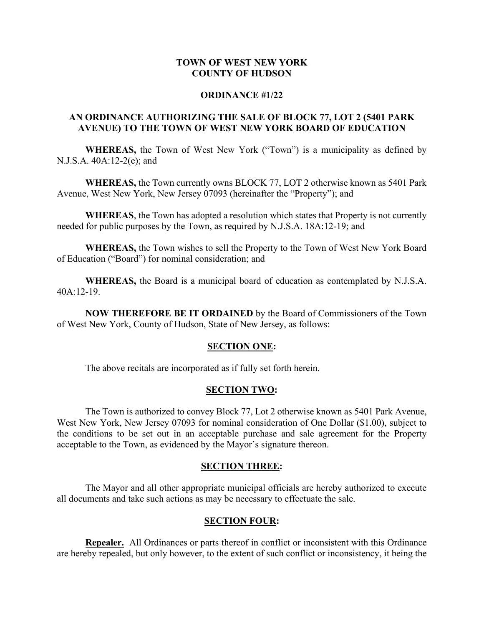### **TOWN OF WEST NEW YORK COUNTY OF HUDSON**

#### **ORDINANCE #1/22**

# **AN ORDINANCE AUTHORIZING THE SALE OF BLOCK 77, LOT 2 (5401 PARK AVENUE) TO THE TOWN OF WEST NEW YORK BOARD OF EDUCATION**

**WHEREAS,** the Town of West New York ("Town") is a municipality as defined by N.J.S.A. 40A:12-2(e); and

**WHEREAS,** the Town currently owns BLOCK 77, LOT 2 otherwise known as 5401 Park Avenue, West New York, New Jersey 07093 (hereinafter the "Property"); and

**WHEREAS**, the Town has adopted a resolution which states that Property is not currently needed for public purposes by the Town, as required by N.J.S.A. 18A:12-19; and

**WHEREAS,** the Town wishes to sell the Property to the Town of West New York Board of Education ("Board") for nominal consideration; and

**WHEREAS,** the Board is a municipal board of education as contemplated by N.J.S.A. 40A:12-19.

**NOW THEREFORE BE IT ORDAINED** by the Board of Commissioners of the Town of West New York, County of Hudson, State of New Jersey, as follows:

#### **SECTION ONE:**

The above recitals are incorporated as if fully set forth herein.

#### **SECTION TWO:**

The Town is authorized to convey Block 77, Lot 2 otherwise known as 5401 Park Avenue, West New York, New Jersey 07093 for nominal consideration of One Dollar (\$1.00), subject to the conditions to be set out in an acceptable purchase and sale agreement for the Property acceptable to the Town, as evidenced by the Mayor's signature thereon.

#### **SECTION THREE:**

The Mayor and all other appropriate municipal officials are hereby authorized to execute all documents and take such actions as may be necessary to effectuate the sale.

#### **SECTION FOUR:**

**Repealer.** All Ordinances or parts thereof in conflict or inconsistent with this Ordinance are hereby repealed, but only however, to the extent of such conflict or inconsistency, it being the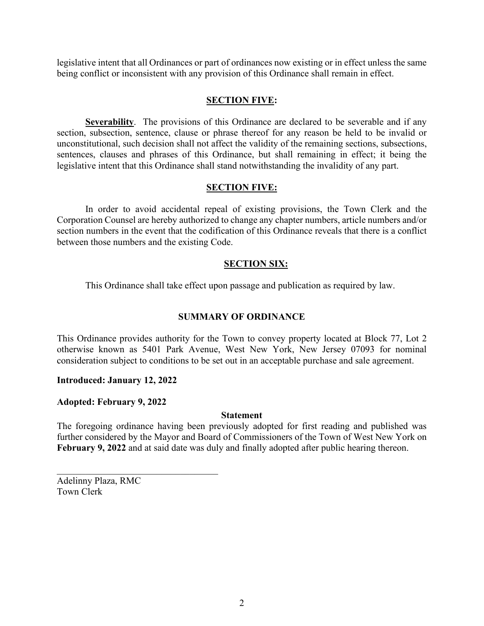legislative intent that all Ordinances or part of ordinances now existing or in effect unless the same being conflict or inconsistent with any provision of this Ordinance shall remain in effect.

# **SECTION FIVE:**

**Severability**. The provisions of this Ordinance are declared to be severable and if any section, subsection, sentence, clause or phrase thereof for any reason be held to be invalid or unconstitutional, such decision shall not affect the validity of the remaining sections, subsections, sentences, clauses and phrases of this Ordinance, but shall remaining in effect; it being the legislative intent that this Ordinance shall stand notwithstanding the invalidity of any part.

# **SECTION FIVE:**

In order to avoid accidental repeal of existing provisions, the Town Clerk and the Corporation Counsel are hereby authorized to change any chapter numbers, article numbers and/or section numbers in the event that the codification of this Ordinance reveals that there is a conflict between those numbers and the existing Code.

# **SECTION SIX:**

This Ordinance shall take effect upon passage and publication as required by law.

### **SUMMARY OF ORDINANCE**

This Ordinance provides authority for the Town to convey property located at Block 77, Lot 2 otherwise known as 5401 Park Avenue, West New York, New Jersey 07093 for nominal consideration subject to conditions to be set out in an acceptable purchase and sale agreement.

### **Introduced: January 12, 2022**

### **Adopted: February 9, 2022**

### **Statement**

The foregoing ordinance having been previously adopted for first reading and published was further considered by the Mayor and Board of Commissioners of the Town of West New York on **February 9, 2022** and at said date was duly and finally adopted after public hearing thereon.

Adelinny Plaza, RMC Town Clerk